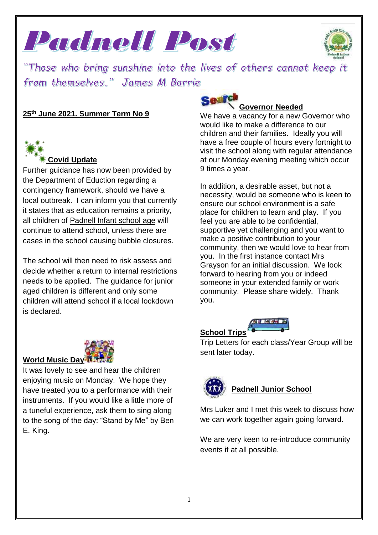Padnell Post



"Those who bring sunshine into the lives of others cannot keep it from themselves." James M Barrie

# **25th June 2021. Summer Term No 9**



# **Covid Update**

Further guidance has now been provided by the Department of Eduction regarding a contingency framework, should we have a local outbreak. I can inform you that currently it states that as education remains a priority, all children of Padnell Infant school age will continue to attend school, unless there are cases in the school causing bubble closures.

The school will then need to risk assess and decide whether a return to internal restrictions needs to be applied. The guidance for junior aged children is different and only some children will attend school if a local lockdown is declared.



#### **Governor Needed**

We have a vacancy for a new Governor who would like to make a difference to our children and their families. Ideally you will have a free couple of hours every fortnight to visit the school along with regular attendance at our Monday evening meeting which occur 9 times a year.

In addition, a desirable asset, but not a necessity, would be someone who is keen to ensure our school environment is a safe place for children to learn and play. If you feel you are able to be confidential, supportive yet challenging and you want to make a positive contribution to your community, then we would love to hear from you. In the first instance contact Mrs Grayson for an initial discussion. We look forward to hearing from you or indeed someone in your extended family or work community. Please share widely. Thank you.



Trip Letters for each class/Year Group will be sent later today.



# **Padnell Junior School**

Mrs Luker and I met this week to discuss how we can work together again going forward.

We are very keen to re-introduce community events if at all possible.



#### **World Music Day**

It was lovely to see and hear the children enjoying music on Monday. We hope they have treated you to a performance with their instruments. If you would like a little more of a tuneful experience, ask them to sing along to the song of the day: "Stand by Me" by Ben E. King.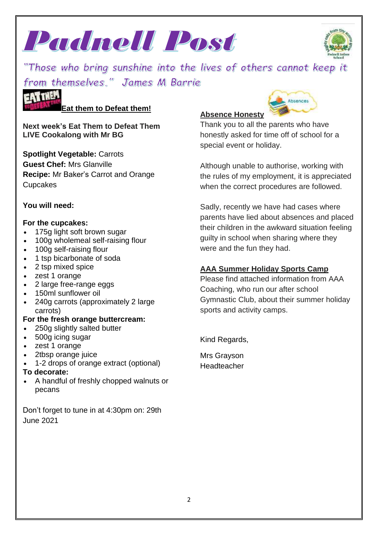



"Those who bring sunshine into the lives of others cannot keep it from themselves." James M Barrie

**Eat them to Defeat them!**

**Next week's Eat Them to Defeat Them LIVE Cookalong with Mr BG**

**Spotlight Vegetable:** Carrots **Guest Chef:** Mrs Glanville **Recipe:** Mr Baker's Carrot and Orange Cupcakes

# **You will need:**

**EATTHEM** 

#### **For the cupcakes:**

- 175g light soft brown sugar
- 100g wholemeal self-raising flour
- 100g self-raising flour
- 1 tsp bicarbonate of soda
- 2 tsp mixed spice
- zest 1 orange
- 2 large free-range eggs
- 150ml sunflower oil
- 240g carrots (approximately 2 large carrots)

# **For the fresh orange buttercream:**

- 250g slightly salted butter
- 500g icing sugar
- zest 1 orange
- 2tbsp orange juice
- 1-2 drops of orange extract (optional)

# **To decorate:**

 A handful of freshly chopped walnuts or pecans

Don't forget to tune in at 4:30pm on: 29th June 2021

# **Absence Honesty**

Thank you to all the parents who have honestly asked for time off of school for a special event or holiday.

Absences

Although unable to authorise, working with the rules of my employment, it is appreciated when the correct procedures are followed.

Sadly, recently we have had cases where parents have lied about absences and placed their children in the awkward situation feeling guilty in school when sharing where they were and the fun they had.

# **AAA Summer Holiday Sports Camp**

Please find attached information from AAA Coaching, who run our after school Gymnastic Club, about their summer holiday sports and activity camps.

Kind Regards,

Mrs Grayson **Headteacher**